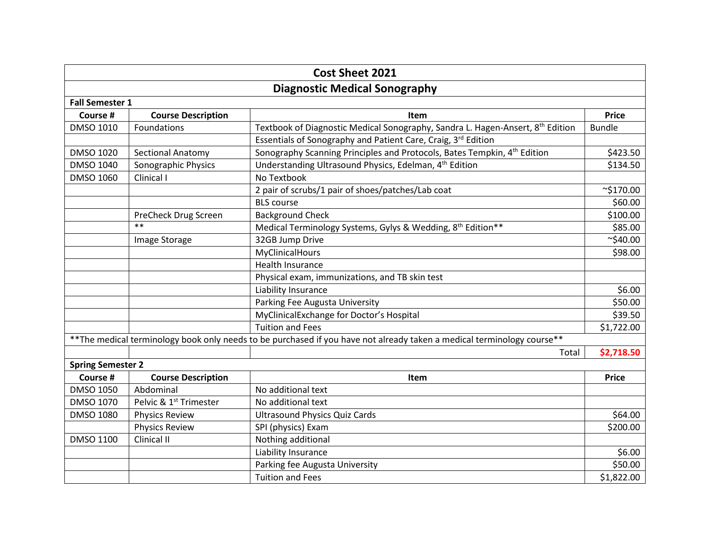| <b>Cost Sheet 2021</b>                                                                                                  |                                    |                                                                                      |                 |  |  |
|-------------------------------------------------------------------------------------------------------------------------|------------------------------------|--------------------------------------------------------------------------------------|-----------------|--|--|
| <b>Diagnostic Medical Sonography</b>                                                                                    |                                    |                                                                                      |                 |  |  |
| <b>Fall Semester 1</b>                                                                                                  |                                    |                                                                                      |                 |  |  |
| Course #                                                                                                                | <b>Course Description</b>          | Item                                                                                 | <b>Price</b>    |  |  |
| DMSO 1010                                                                                                               | Foundations                        | Textbook of Diagnostic Medical Sonography, Sandra L. Hagen-Ansert, 8th Edition       | <b>Bundle</b>   |  |  |
|                                                                                                                         |                                    | Essentials of Sonography and Patient Care, Craig, 3rd Edition                        |                 |  |  |
| DMSO 1020                                                                                                               | <b>Sectional Anatomy</b>           | Sonography Scanning Principles and Protocols, Bates Tempkin, 4 <sup>th</sup> Edition | \$423.50        |  |  |
| DMSO 1040                                                                                                               | Sonographic Physics                | Understanding Ultrasound Physics, Edelman, 4 <sup>th</sup> Edition                   | \$134.50        |  |  |
| DMSO 1060                                                                                                               | Clinical I                         | No Textbook                                                                          |                 |  |  |
|                                                                                                                         |                                    | 2 pair of scrubs/1 pair of shoes/patches/Lab coat                                    | $\sim$ \$170.00 |  |  |
|                                                                                                                         |                                    | <b>BLS</b> course                                                                    | \$60.00         |  |  |
|                                                                                                                         | PreCheck Drug Screen               | <b>Background Check</b>                                                              | \$100.00        |  |  |
|                                                                                                                         | $**$                               | Medical Terminology Systems, Gylys & Wedding, 8th Edition**                          | \$85.00         |  |  |
|                                                                                                                         | Image Storage                      | 32GB Jump Drive                                                                      | $\sim$ \$40.00  |  |  |
|                                                                                                                         |                                    | MyClinicalHours                                                                      | \$98.00         |  |  |
|                                                                                                                         |                                    | Health Insurance                                                                     |                 |  |  |
|                                                                                                                         |                                    | Physical exam, immunizations, and TB skin test                                       |                 |  |  |
|                                                                                                                         |                                    | Liability Insurance                                                                  | \$6.00          |  |  |
|                                                                                                                         |                                    | Parking Fee Augusta University                                                       | \$50.00         |  |  |
|                                                                                                                         |                                    | MyClinicalExchange for Doctor's Hospital                                             | \$39.50         |  |  |
|                                                                                                                         |                                    | <b>Tuition and Fees</b>                                                              | \$1,722.00      |  |  |
| ** The medical terminology book only needs to be purchased if you have not already taken a medical terminology course** |                                    |                                                                                      |                 |  |  |
|                                                                                                                         |                                    | Total                                                                                | \$2,718.50      |  |  |
| <b>Spring Semester 2</b>                                                                                                |                                    |                                                                                      |                 |  |  |
| Course #                                                                                                                | <b>Course Description</b>          | Item                                                                                 | <b>Price</b>    |  |  |
| DMSO 1050                                                                                                               | Abdominal                          | No additional text                                                                   |                 |  |  |
| DMSO 1070                                                                                                               | Pelvic & 1 <sup>st</sup> Trimester | No additional text                                                                   |                 |  |  |
| <b>DMSO 1080</b>                                                                                                        | <b>Physics Review</b>              | <b>Ultrasound Physics Quiz Cards</b>                                                 | \$64.00         |  |  |
|                                                                                                                         | <b>Physics Review</b>              | SPI (physics) Exam                                                                   | \$200.00        |  |  |
| <b>DMSO 1100</b>                                                                                                        | Clinical II                        | Nothing additional                                                                   |                 |  |  |
|                                                                                                                         |                                    | Liability Insurance                                                                  | \$6.00          |  |  |
|                                                                                                                         |                                    | Parking fee Augusta University                                                       | \$50.00         |  |  |
|                                                                                                                         |                                    | <b>Tuition and Fees</b>                                                              | \$1,822.00      |  |  |